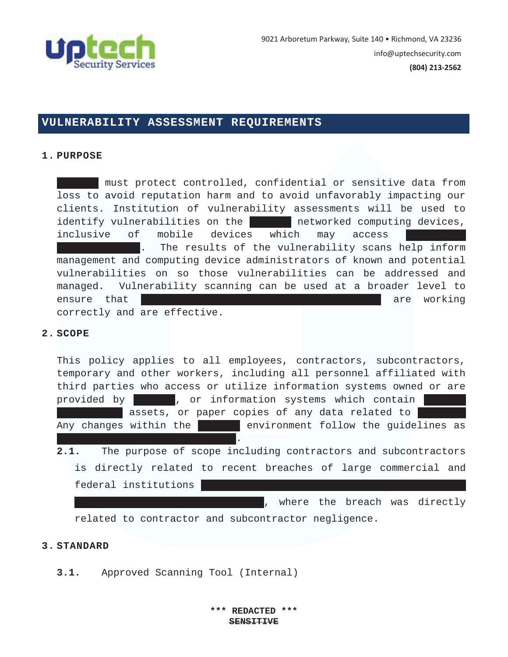

# **VULNERABILITY ASSESSMENT REQUIREMENTS**

#### **1. PURPOSE**

must protect controlled, confidential or sensitive data from loss to avoid reputation harm and to avoid unfavorably impacting our clients. Institution of vulnerability assessments will be used to identify vulnerabilities on the networked computing devices, inclusive of mobile devices which may access The results of the vulnerability scans help inform management and computing device administrators of known and potential vulnerabilities on so those vulnerabilities can be addressed and managed. Vulnerability scanning can be used at a broader level to ensure that came campus information security practices are working correctly and are effective.

### **2. SCOPE**

This policy applies to all employees, contractors, subcontractors, temporary and other workers, including all personnel affiliated with third parties who access or utilize information systems owned or are provided by **Lend**, or information systems which contain assets, or paper copies of any data related to Any changes within the Lend environment follow the guidelines as set forth with this document. This document with the top of the top of the top of the top of the top of the to **2.1.** The purpose of scope including contractors and subcontractors is directly related to recent breaches of large commercial and federal institutions

, where the breach was directly

related to contractor and subcontractor negligence.

### **3. STANDARD**

**3.1.** Approved Scanning Tool (Internal)

**\*\*\* REDACTED \*\*\* SENSITIVE**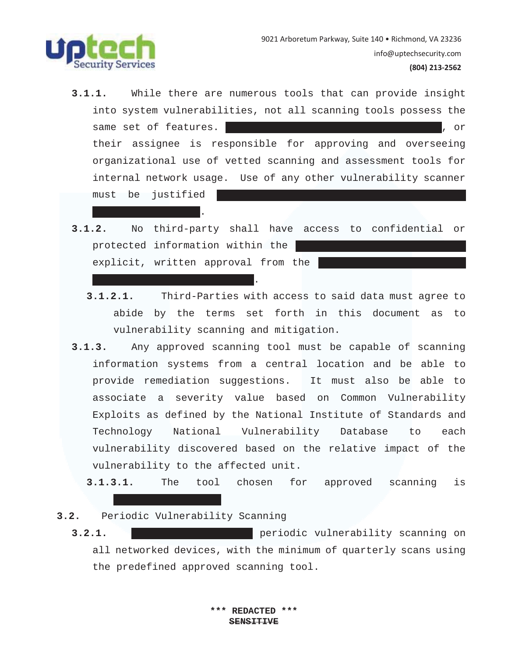

### $(804)$  213-2562

- **3.1.1.** While there are numerous tools that can provide insight into system vulnerabilities, not all scanning tools possess the same set of features. The LendPro Chief Technology Officer, or their assignee is responsible for approving and overseeing organizational use of vetted scanning and assessment tools for internal network usage. Use of any other vulnerability scanner must be justified
- **3.1.2.** No third-party shall have access to confidential or protected information within the explicit, written approval from the
	- **3.1.2.1.** Third-Parties with access to said data must agree to abide by the terms set forth in this document as to vulnerability scanning and mitigation.
- **3.1.3.** Any approved scanning tool must be capable of scanning information systems from a central location and be able to provide remediation suggestions. It must also be able to associate a severity value based on Common Vulnerability Exploits as defined by the National Institute of Standards and Technology National Vulnerability Database to each vulnerability discovered based on the relative impact of the vulnerability to the affected unit.

**3.1.3.1.** The tool chosen for approved scanning is

### **3.2.** Periodic Vulnerability Scanning

Technology Officer. The Contract of the Contract of the Contract of the Contract of the Contract of the Contract of

and Chief Executive Officer. The Chief Executive Officer.

**3.2.1. Lend Pro will conduct periodic vulnerability scanning on** all networked devices, with the minimum of quarterly scans using the predefined approved scanning tool.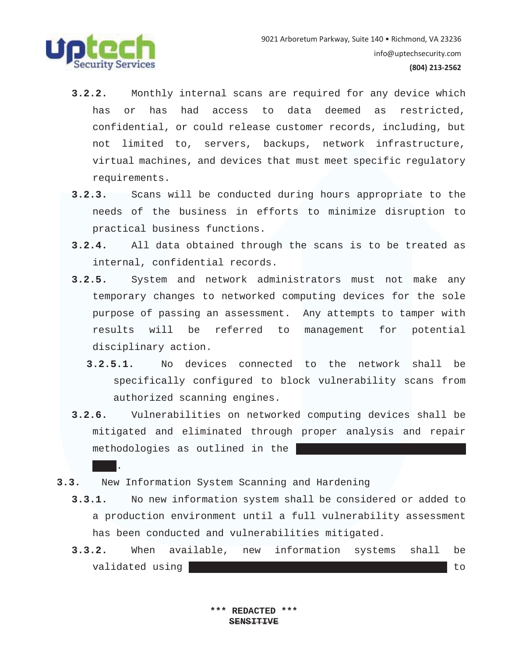

*Plan*.

- **3.2.2.** Monthly internal scans are required for any device which has or has had access to data deemed as restricted, confidential, or could release customer records, including, but not limited to, servers, backups, network infrastructure, virtual machines, and devices that must meet specific regulatory requirements.
- **3.2.3.** Scans will be conducted during hours appropriate to the needs of the business in efforts to minimize disruption to practical business functions.
- **3.2.4.** All data obtained through the scans is to be treated as internal, confidential records.
- **3.2.5.** System and network administrators must not make any temporary changes to networked computing devices for the sole purpose of passing an assessment. Any attempts to tamper with results will be referred to management for potential disciplinary action.
	- **3.2.5.1.** No devices connected to the network shall be specifically configured to block vulnerability scans from authorized scanning engines.
- **3.2.6.** Vulnerabilities on networked computing devices shall be mitigated and eliminated through proper analysis and repair methodologies as outlined in the
- **3.3.** New Information System Scanning and Hardening
	- **3.3.1.** No new information system shall be considered or added to a production environment until a full vulnerability assessment has been conducted and vulnerabilities mitigated.
	- **3.3.2.** When available, new information systems shall be validated using  $\blacksquare$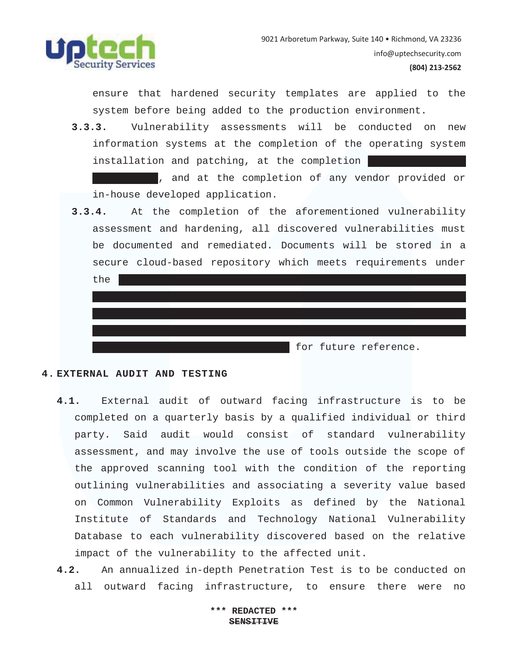

 $(804)$  213-2562

ensure that hardened security templates are applied to the system before being added to the production environment.

**3.3.3.** Vulnerability assessments will be conducted on new information systems at the completion of the operating system installation and patching, at the completion

, and at the completion of any vendor provided or in-house developed application.

**3.3.4.** At the completion of the aforementioned vulnerability assessment and hardening, all discovered vulnerabilities must be documented and remediated. Documents will be stored in a secure cloud-based repository which meets requirements under

| the |  |  |                       |  |
|-----|--|--|-----------------------|--|
|     |  |  |                       |  |
|     |  |  |                       |  |
|     |  |  |                       |  |
|     |  |  |                       |  |
|     |  |  | for future reference. |  |

## **4. EXTERNAL AUDIT AND TESTING**

- **4.1.** External audit of outward facing infrastructure is to be completed on a quarterly basis by a qualified individual or third party. Said audit would consist of standard vulnerability assessment, and may involve the use of tools outside the scope of the approved scanning tool with the condition of the reporting outlining vulnerabilities and associating a severity value based on Common Vulnerability Exploits as defined by the National Institute of Standards and Technology National Vulnerability Database to each vulnerability discovered based on the relative impact of the vulnerability to the affected unit.
- **4.2.** An annualized in-depth Penetration Test is to be conducted on all outward facing infrastructure, to ensure there were no

**\*\*\* REDACTED \*\*\* SENSITIVE**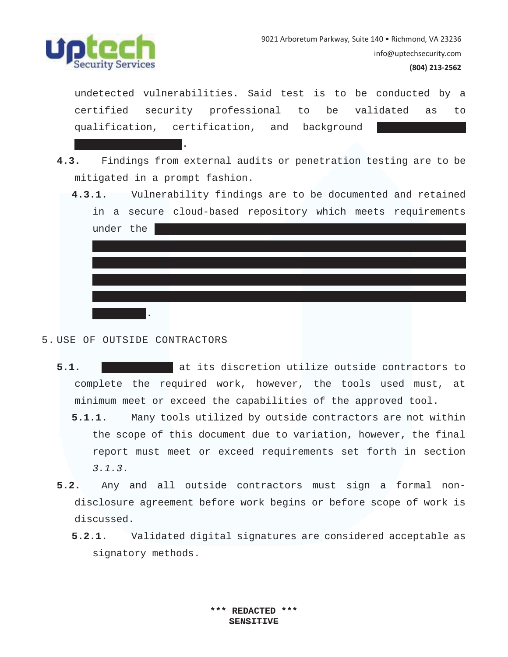

### $(804)$  213-2562

undetected vulnerabilities. Said test is to be conducted by a certified security professional to be validated as to qualification, certification, and background

- **4.3.** Findings from external audits or penetration testing are to be mitigated in a prompt fashion.
	- **4.3.1.** Vulnerability findings are to be documented and retained in a secure cloud-based repository which meets requirements under the  $D\leq \frac{1}{2}$  , the Health Insurance Portability and  $A\leq \frac{1}{2}$  , the Health Insurance  $A\leq \frac{1}{2}$  $\mathcal{H}_{\mathcal{A}}$  , the Financial Industry Regulatory  $\mathcal{H}_{\mathcal{A}}$  and  $\mathcal{H}_{\mathcal{A}}$  and  $\mathcal{H}_{\mathcal{A}}$ the Gramm-Leach-Bliley  $\mathcal{L}_\mathcal{A}$  and the Sarbanes-Oxley Act (GLBA), and the Sarbanes-Oxley Act (GLBA), and (SOX) under document type "*Threat Mitigation*" for future reference.
- 5. USE OF OUTSIDE CONTRACTORS

Technology Officer. The Contract of the Contract of the Contract of the Contract of the Contract of the Contract of

- **5.1.** Lead at its discretion utilize outside contractors to complete the required work, however, the tools used must, at minimum meet or exceed the capabilities of the approved tool.
	- **5.1.1.** Many tools utilized by outside contractors are not within the scope of this document due to variation, however, the final report must meet or exceed requirements set forth in section *3.1.3*.
- **5.2.** Any and all outside contractors must sign a formal nondisclosure agreement before work begins or before scope of work is discussed.
	- **5.2.1.** Validated digital signatures are considered acceptable as signatory methods.